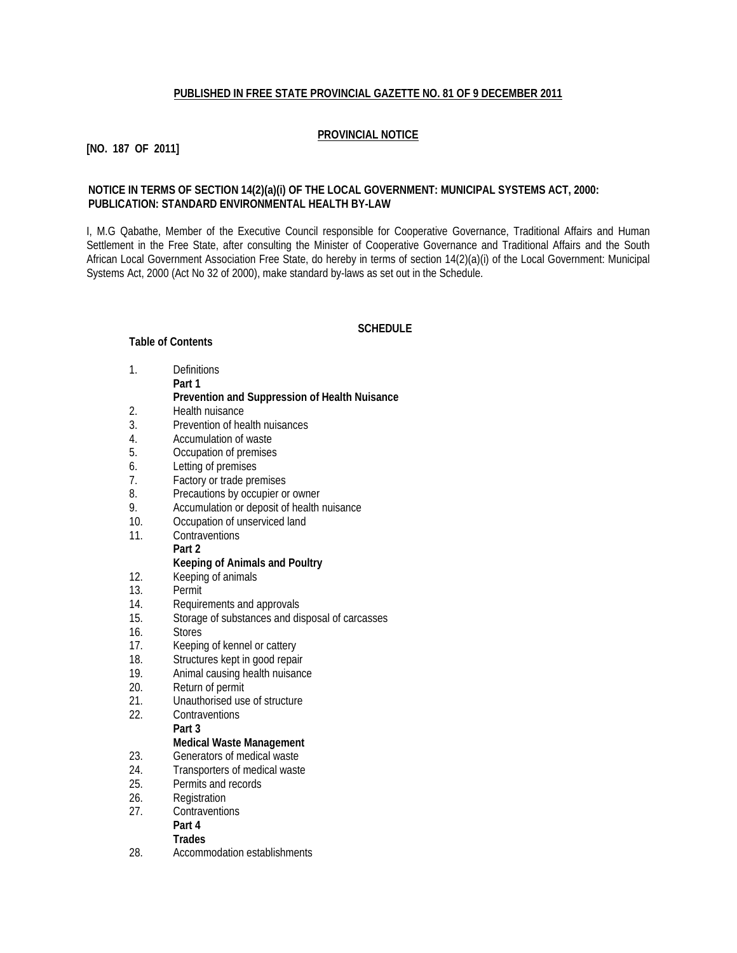## **PUBLISHED IN FREE STATE PROVINCIAL GAZETTE NO. 81 OF 9 DECEMBER 2011**

## **PROVINCIAL NOTICE**

# **[NO. 187 OF 2011]**

## **NOTICE IN TERMS OF SECTION 14(2)(a)(i) OF THE LOCAL GOVERNMENT: MUNICIPAL SYSTEMS ACT, 2000: PUBLICATION: STANDARD ENVIRONMENTAL HEALTH BY-LAW**

I, M.G Qabathe, Member of the Executive Council responsible for Cooperative Governance, Traditional Affairs and Human Settlement in the Free State, after consulting the Minister of Cooperative Governance and Traditional Affairs and the South African Local Government Association Free State, do hereby in terms of section 14(2)(a)(i) of the Local Government: Municipal Systems Act, 2000 (Act No 32 of 2000), make standard by-laws as set out in the Schedule.

#### **SCHEDULE**

#### **Table of Contents**

1. Definitions

**Part 1**

#### **Prevention and Suppression of Health Nuisance**

- 2. Health nuisance
- 3. Prevention of health nuisances
- 4. Accumulation of waste
- 5. Occupation of premises
- 6. Letting of premises
- 7. Factory or trade premises
- 8. Precautions by occupier or owner
- 9. Accumulation or deposit of health nuisance
- 10. Occupation of unserviced land
- 11. Contraventions

#### **Part 2 Keeping of Animals and Poultry**

- 12. Keeping of animals
- 13. Permit
- 14. Requirements and approvals
- 15. Storage of substances and disposal of carcasses
- 16. Stores
- 17. Keeping of kennel or cattery<br>18. Structures kept in good repai
- Structures kept in good repair
- 19. Animal causing health nuisance
- 20. Return of permit<br>21. Unauthorised use
- Unauthorised use of structure
- 22. Contraventions **Part 3**

- **Medical Waste Management**
- 23. Generators of medical waste
- 24. Transporters of medical waste 25. Permits and records
- 26. Registration
- 27. Contraventions
- **Part 4**

# **Trades**

28. Accommodation establishments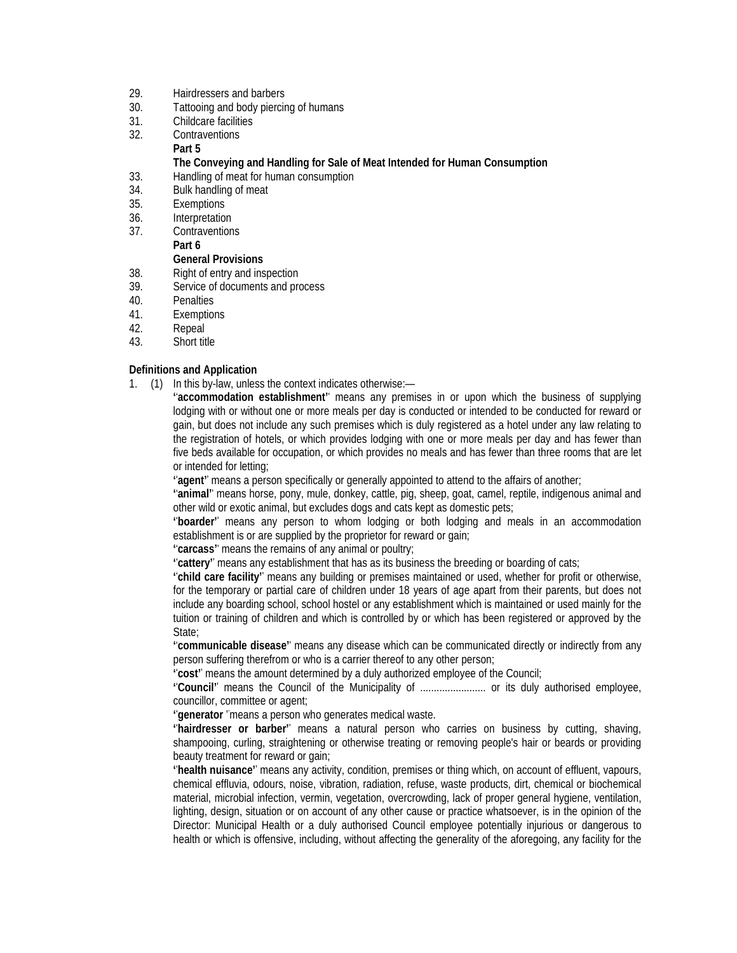## 29. Hairdressers and barbers

- 30. Tattooing and body piercing of humans
- 31. Childcare facilities
- 32. Contraventions

# **Part 5**

## **The Conveying and Handling for Sale of Meat Intended for Human Consumption**

- 33. Handling of meat for human consumption
- 34. Bulk handling of meat
- 35. Exemptions
- 36. Interpretation
- 37. Contraventions
- **Part 6**

# **General Provisions**

- 38. Right of entry and inspection
- 39. Service of documents and process
- 40. Penalties
- 41. Exemptions
- 42. Repeal
- 43. Short title

## **Definitions and Application**

1. (1) In this by-law, unless the context indicates otherwise:—

**' ' accommodation establishment''** means any premises in or upon which the business of supplying lodging with or without one or more meals per day is conducted or intended to be conducted for reward or gain, but does not include any such premises which is duly registered as a hotel under any law relating to the registration of hotels, or which provides lodging with one or more meals per day and has fewer than five beds available for occupation, or which provides no meals and has fewer than three rooms that are let or intended for letting;

**' ' agent''** means a person specifically or generally appointed to attend to the affairs of another;

**' ' animal''** means horse, pony, mule, donkey, cattle, pig, sheep, goat, camel, reptile, indigenous animal and other wild or exotic animal, but excludes dogs and cats kept as domestic pets;

**' ' boarder''** means any person to whom lodging or both lodging and meals in an accommodation establishment is or are supplied by the proprietor for reward or gain;

**' ' carcass''** means the remains of any animal or poultry;

**' ' cattery''** means any establishment that has as its business the breeding or boarding of cats;

**' ' child care facility''** means any building or premises maintained or used, whether for profit or otherwise, for the temporary or partial care of children under 18 years of age apart from their parents, but does not include any boarding school, school hostel or any establishment which is maintained or used mainly for the tuition or training of children and which is controlled by or which has been registered or approved by the State:

**' ' communicable disease''** means any disease which can be communicated directly or indirectly from any person suffering therefrom or who is a carrier thereof to any other person;

**' ' cost''** means the amount determined by a duly authorized employee of the Council;

**' ' Council''** means the Council of the Municipality of ........................ or its duly authorised employee, councillor, committee or agent;

**' ' generator** ' means a person who generates medical waste. '

**' ' hairdresser or barber''** means a natural person who carries on business by cutting, shaving, shampooing, curling, straightening or otherwise treating or removing people's hair or beards or providing beauty treatment for reward or gain;

**' ' health nuisance''** means any activity, condition, premises or thing which, on account of effluent, vapours, chemical effluvia, odours, noise, vibration, radiation, refuse, waste products, dirt, chemical or biochemical material, microbial infection, vermin, vegetation, overcrowding, lack of proper general hygiene, ventilation, lighting, design, situation or on account of any other cause or practice whatsoever, is in the opinion of the Director: Municipal Health or a duly authorised Council employee potentially injurious or dangerous to health or which is offensive, including, without affecting the generality of the aforegoing, any facility for the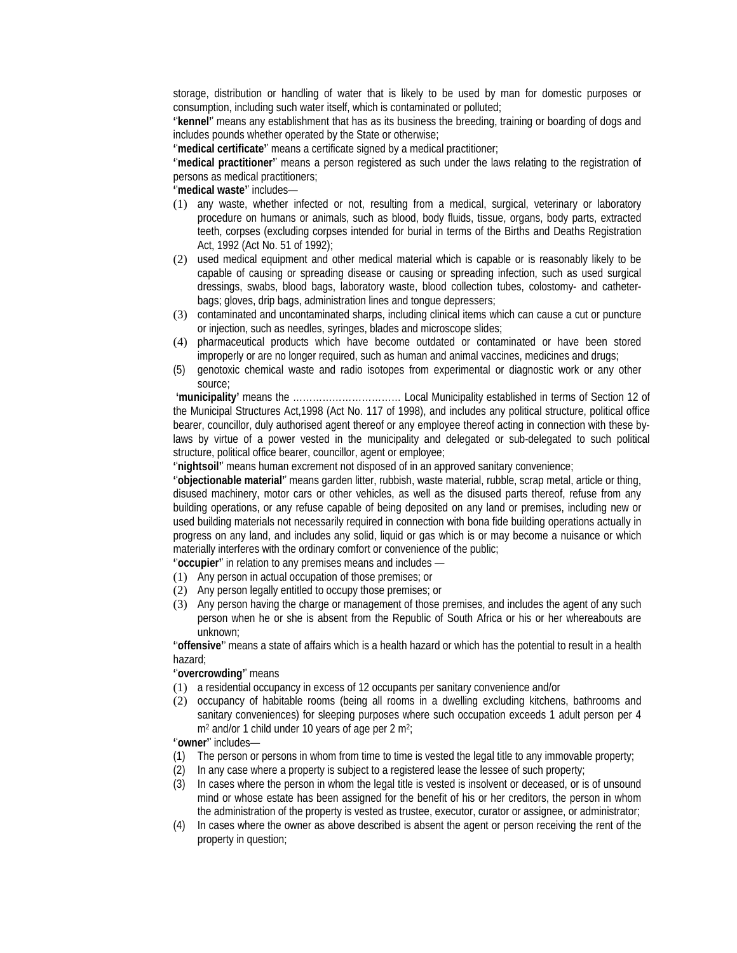storage, distribution or handling of water that is likely to be used by man for domestic purposes or consumption, including such water itself, which is contaminated or polluted;

**' ' kennel''** means any establishment that has as its business the breeding, training or boarding of dogs and includes pounds whether operated by the State or otherwise;

**' ' medical certificate''** means a certificate signed by a medical practitioner;

**' ' medical practitioner''** means a person registered as such under the laws relating to the registration of persons as medical practitioners;

**' ' medical waste''** includes—

- (1) any waste, whether infected or not, resulting from a medical, surgical, veterinary or laboratory procedure on humans or animals, such as blood, body fluids, tissue, organs, body parts, extracted teeth, corpses (excluding corpses intended for burial in terms of the Births and Deaths Registration Act, 1992 (Act No. 51 of 1992);
- (2) used medical equipment and other medical material which is capable or is reasonably likely to be capable of causing or spreading disease or causing or spreading infection, such as used surgical dressings, swabs, blood bags, laboratory waste, blood collection tubes, colostomy- and catheterbags; gloves, drip bags, administration lines and tongue depressers;
- (3) contaminated and uncontaminated sharps, including clinical items which can cause a cut or puncture or injection, such as needles, syringes, blades and microscope slides;
- (4) pharmaceutical products which have become outdated or contaminated or have been stored improperly or are no longer required, such as human and animal vaccines, medicines and drugs;
- (5) genotoxic chemical waste and radio isotopes from experimental or diagnostic work or any other source;

**'municipality'** means the …………………………… Local Municipality established in terms of Section 12 of the Municipal Structures Act,1998 (Act No. 117 of 1998), and includes any political structure, political office bearer, councillor, duly authorised agent thereof or any employee thereof acting in connection with these bylaws by virtue of a power vested in the municipality and delegated or sub-delegated to such political structure, political office bearer, councillor, agent or employee;

**' ' nightsoil''** means human excrement not disposed of in an approved sanitary convenience;

**' ' objectionable material''** means garden litter, rubbish, waste material, rubble, scrap metal, article or thing, disused machinery, motor cars or other vehicles, as well as the disused parts thereof, refuse from any building operations, or any refuse capable of being deposited on any land or premises, including new or used building materials not necessarily required in connection with bona fide building operations actually in progress on any land, and includes any solid, liquid or gas which is or may become a nuisance or which materially interferes with the ordinary comfort or convenience of the public;

**' ' occupier''** in relation to any premises means and includes —

- (1) Any person in actual occupation of those premises; or
- (2) Any person legally entitled to occupy those premises; or
- (3) Any person having the charge or management of those premises, and includes the agent of any such person when he or she is absent from the Republic of South Africa or his or her whereabouts are unknown;

**' ' offensive''** means a state of affairs which is a health hazard or which has the potential to result in a health hazard;

#### **' ' overcrowding''** means

- (1) a residential occupancy in excess of 12 occupants per sanitary convenience and/or
- (2) occupancy of habitable rooms (being all rooms in a dwelling excluding kitchens, bathrooms and sanitary conveniences) for sleeping purposes where such occupation exceeds 1 adult person per 4 m<sup>2</sup> and/or 1 child under 10 years of age per 2 m<sup>2</sup>;

**' ' owner''** includes—

- (1) The person or persons in whom from time to time is vested the legal title to any immovable property;
- (2) In any case where a property is subject to a registered lease the lessee of such property;
- (3) In cases where the person in whom the legal title is vested is insolvent or deceased, or is of unsound mind or whose estate has been assigned for the benefit of his or her creditors, the person in whom the administration of the property is vested as trustee, executor, curator or assignee, or administrator;
- (4) In cases where the owner as above described is absent the agent or person receiving the rent of the property in question;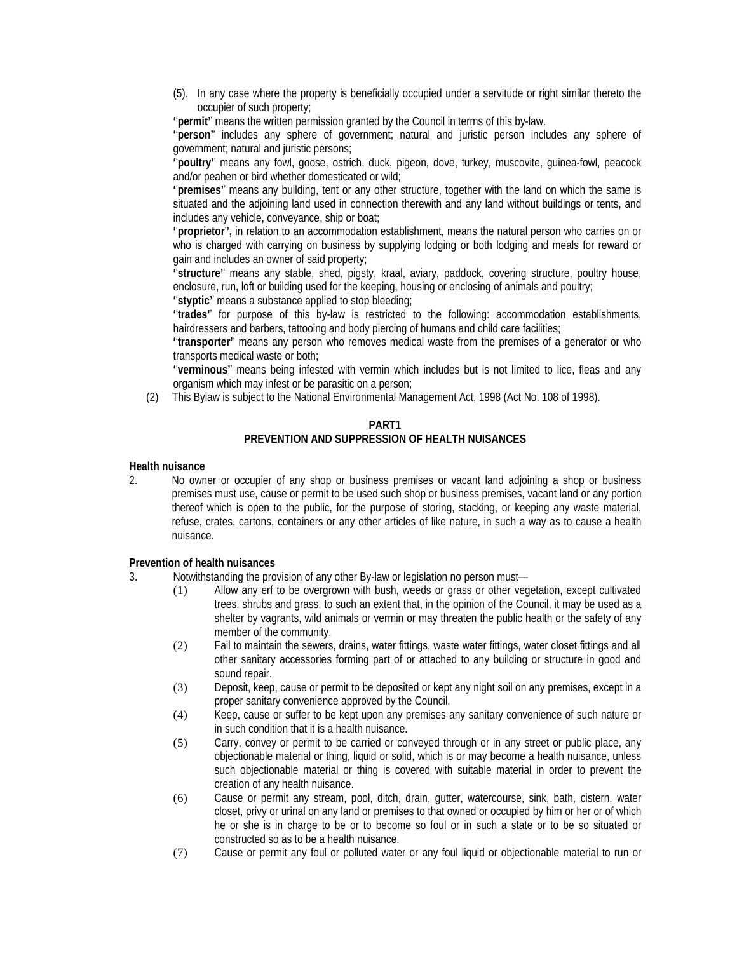- (5). In any case where the property is beneficially occupied under a servitude or right similar thereto the occupier of such property;
- **' ' permit''** means the written permission granted by the Council in terms of this by-law.

**' ' person''** includes any sphere of government; natural and juristic person includes any sphere of government; natural and juristic persons;

**' ' poultry''** means any fowl, goose, ostrich, duck, pigeon, dove, turkey, muscovite, guinea-fowl, peacock and/or peahen or bird whether domesticated or wild;

**' ' premises''** means any building, tent or any other structure, together with the land on which the same is situated and the adjoining land used in connection therewith and any land without buildings or tents, and includes any vehicle, conveyance, ship or boat;

**' ' proprietor' ',** in relation to an accommodation establishment, means the natural person who carries on or who is charged with carrying on business by supplying lodging or both lodging and meals for reward or gain and includes an owner of said property;

**' ' structure''** means any stable, shed, pigsty, kraal, aviary, paddock, covering structure, poultry house, enclosure, run, loft or building used for the keeping, housing or enclosing of animals and poultry;

**' ' styptic''** means a substance applied to stop bleeding;

**' ' trades''** for purpose of this by-law is restricted to the following: accommodation establishments, hairdressers and barbers, tattooing and body piercing of humans and child care facilities;

**' ' transporter''** means any person who removes medical waste from the premises of a generator or who transports medical waste or both;

**' ' verminous''** means being infested with vermin which includes but is not limited to lice, fleas and any organism which may infest or be parasitic on a person;

(2) This Bylaw is subject to the National Environmental Management Act, 1998 (Act No. 108 of 1998).

#### **PART1 PREVENTION AND SUPPRESSION OF HEALTH NUISANCES**

#### **Health nuisance**

2. No owner or occupier of any shop or business premises or vacant land adjoining a shop or business premises must use, cause or permit to be used such shop or business premises, vacant land or any portion thereof which is open to the public, for the purpose of storing, stacking, or keeping any waste material, refuse, crates, cartons, containers or any other articles of like nature, in such a way as to cause a health nuisance.

## **Prevention of health nuisances**

- 3. Notwithstanding the provision of any other By-law or legislation no person must—
	- (1) Allow any erf to be overgrown with bush, weeds or grass or other vegetation, except cultivated trees, shrubs and grass, to such an extent that, in the opinion of the Council, it may be used as a shelter by vagrants, wild animals or vermin or may threaten the public health or the safety of any member of the community.
	- (2) Fail to maintain the sewers, drains, water fittings, waste water fittings, water closet fittings and all other sanitary accessories forming part of or attached to any building or structure in good and sound repair.
	- (3) Deposit, keep, cause or permit to be deposited or kept any night soil on any premises, except in a proper sanitary convenience approved by the Council.
	- (4) Keep, cause or suffer to be kept upon any premises any sanitary convenience of such nature or in such condition that it is a health nuisance.
	- (5) Carry, convey or permit to be carried or conveyed through or in any street or public place, any objectionable material or thing, liquid or solid, which is or may become a health nuisance, unless such objectionable material or thing is covered with suitable material in order to prevent the creation of any health nuisance.
	- (6) Cause or permit any stream, pool, ditch, drain, gutter, watercourse, sink, bath, cistern, water closet, privy or urinal on any land or premises to that owned or occupied by him or her or of which he or she is in charge to be or to become so foul or in such a state or to be so situated or constructed so as to be a health nuisance.
	- (7) Cause or permit any foul or polluted water or any foul liquid or objectionable material to run or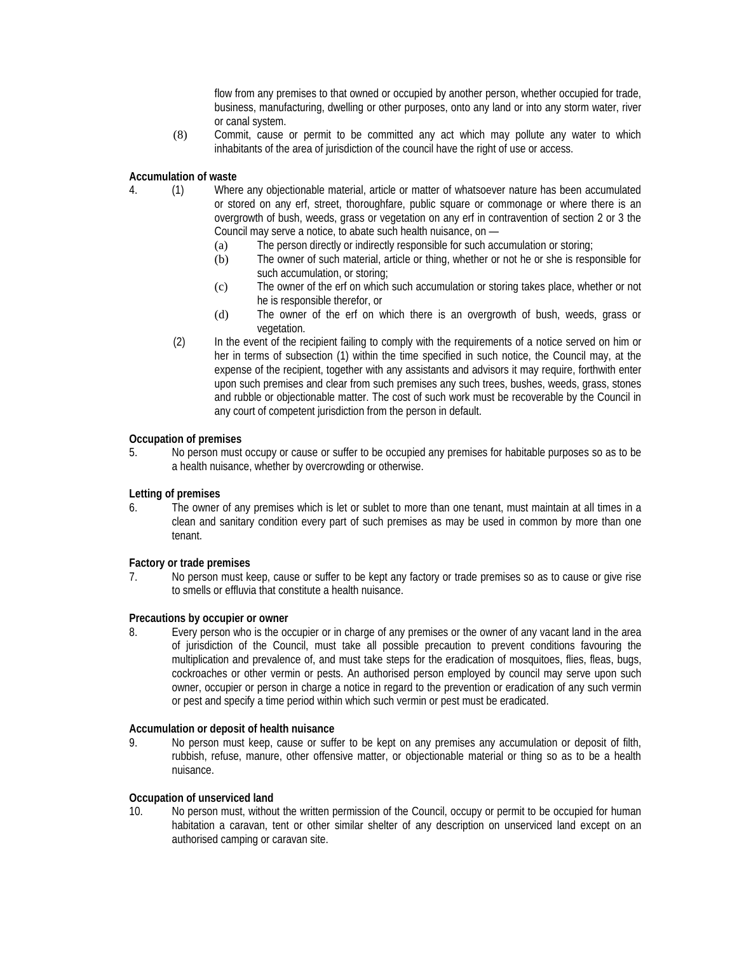flow from any premises to that owned or occupied by another person, whether occupied for trade, business, manufacturing, dwelling or other purposes, onto any land or into any storm water, river or canal system.

(8) Commit, cause or permit to be committed any act which may pollute any water to which inhabitants of the area of jurisdiction of the council have the right of use or access.

**Accumulation of waste**

- 4. (1) Where any objectionable material, article or matter of whatsoever nature has been accumulated or stored on any erf, street, thoroughfare, public square or commonage or where there is an overgrowth of bush, weeds, grass or vegetation on any erf in contravention of section 2 or 3 the Council may serve a notice, to abate such health nuisance, on —
	- (a) The person directly or indirectly responsible for such accumulation or storing;
	- (b) The owner of such material, article or thing, whether or not he or she is responsible for such accumulation, or storing;
	- (c) The owner of the erf on which such accumulation or storing takes place, whether or not he is responsible therefor, or
	- (d) The owner of the erf on which there is an overgrowth of bush, weeds, grass or vegetation.
	- (2) In the event of the recipient failing to comply with the requirements of a notice served on him or her in terms of subsection (1) within the time specified in such notice, the Council may, at the expense of the recipient, together with any assistants and advisors it may require, forthwith enter upon such premises and clear from such premises any such trees, bushes, weeds, grass, stones and rubble or objectionable matter. The cost of such work must be recoverable by the Council in any court of competent jurisdiction from the person in default.

#### **Occupation of premises**

5. No person must occupy or cause or suffer to be occupied any premises for habitable purposes so as to be a health nuisance, whether by overcrowding or otherwise.

#### **Letting of premises**

6. The owner of any premises which is let or sublet to more than one tenant, must maintain at all times in a clean and sanitary condition every part of such premises as may be used in common by more than one tenant.

## **Factory or trade premises**

7. No person must keep, cause or suffer to be kept any factory or trade premises so as to cause or give rise to smells or effluvia that constitute a health nuisance.

#### **Precautions by occupier or owner**

8. Every person who is the occupier or in charge of any premises or the owner of any vacant land in the area of jurisdiction of the Council, must take all possible precaution to prevent conditions favouring the multiplication and prevalence of, and must take steps for the eradication of mosquitoes, flies, fleas, bugs, cockroaches or other vermin or pests. An authorised person employed by council may serve upon such owner, occupier or person in charge a notice in regard to the prevention or eradication of any such vermin or pest and specify a time period within which such vermin or pest must be eradicated.

#### **Accumulation or deposit of health nuisance**

9. No person must keep, cause or suffer to be kept on any premises any accumulation or deposit of filth, rubbish, refuse, manure, other offensive matter, or objectionable material or thing so as to be a health nuisance.

#### **Occupation of unserviced land**

10. No person must, without the written permission of the Council, occupy or permit to be occupied for human habitation a caravan, tent or other similar shelter of any description on unserviced land except on an authorised camping or caravan site.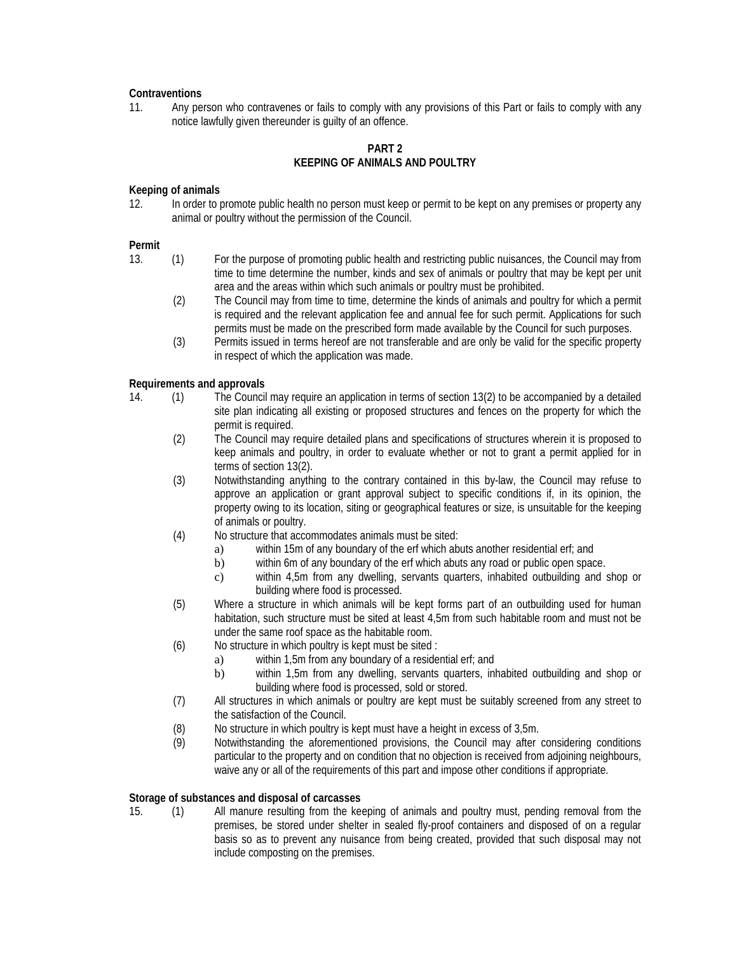## **Contraventions**

11. Any person who contravenes or fails to comply with any provisions of this Part or fails to comply with any notice lawfully given thereunder is guilty of an offence.

# **PART 2 KEEPING OF ANIMALS AND POULTRY**

## **Keeping of animals**

12. In order to promote public health no person must keep or permit to be kept on any premises or property any animal or poultry without the permission of the Council.

## **Permit**

- 13. (1) For the purpose of promoting public health and restricting public nuisances, the Council may from time to time determine the number, kinds and sex of animals or poultry that may be kept per unit area and the areas within which such animals or poultry must be prohibited.
	- (2) The Council may from time to time, determine the kinds of animals and poultry for which a permit is required and the relevant application fee and annual fee for such permit. Applications for such permits must be made on the prescribed form made available by the Council for such purposes.
	- (3) Permits issued in terms hereof are not transferable and are only be valid for the specific property in respect of which the application was made.

# **Requirements and approvals**

- 14. (1) The Council may require an application in terms of section 13(2) to be accompanied by a detailed site plan indicating all existing or proposed structures and fences on the property for which the permit is required.
	- (2) The Council may require detailed plans and specifications of structures wherein it is proposed to keep animals and poultry, in order to evaluate whether or not to grant a permit applied for in terms of section 13(2).
	- (3) Notwithstanding anything to the contrary contained in this by-law, the Council may refuse to approve an application or grant approval subject to specific conditions if, in its opinion, the property owing to its location, siting or geographical features or size, is unsuitable for the keeping of animals or poultry.
	- (4) No structure that accommodates animals must be sited:
		- a) within 15m of any boundary of the erf which abuts another residential erf; and
		- b) within 6m of any boundary of the erf which abuts any road or public open space.
		- c) within 4,5m from any dwelling, servants quarters, inhabited outbuilding and shop or building where food is processed.
	- (5) Where a structure in which animals will be kept forms part of an outbuilding used for human habitation, such structure must be sited at least 4,5m from such habitable room and must not be under the same roof space as the habitable room.
	- (6) No structure in which poultry is kept must be sited :
		- a) within 1,5m from any boundary of a residential erf; and
		- b) within 1,5m from any dwelling, servants quarters, inhabited outbuilding and shop or building where food is processed, sold or stored.
	- (7) All structures in which animals or poultry are kept must be suitably screened from any street to the satisfaction of the Council.
	- (8) No structure in which poultry is kept must have a height in excess of 3,5m.<br>(9) Notwithstanding the aforementioned provisions, the Council may after
	- Notwithstanding the aforementioned provisions, the Council may after considering conditions particular to the property and on condition that no objection is received from adjoining neighbours, waive any or all of the requirements of this part and impose other conditions if appropriate.

## **Storage of substances and disposal of carcasses**

15. (1) All manure resulting from the keeping of animals and poultry must, pending removal from the premises, be stored under shelter in sealed fly-proof containers and disposed of on a regular basis so as to prevent any nuisance from being created, provided that such disposal may not include composting on the premises.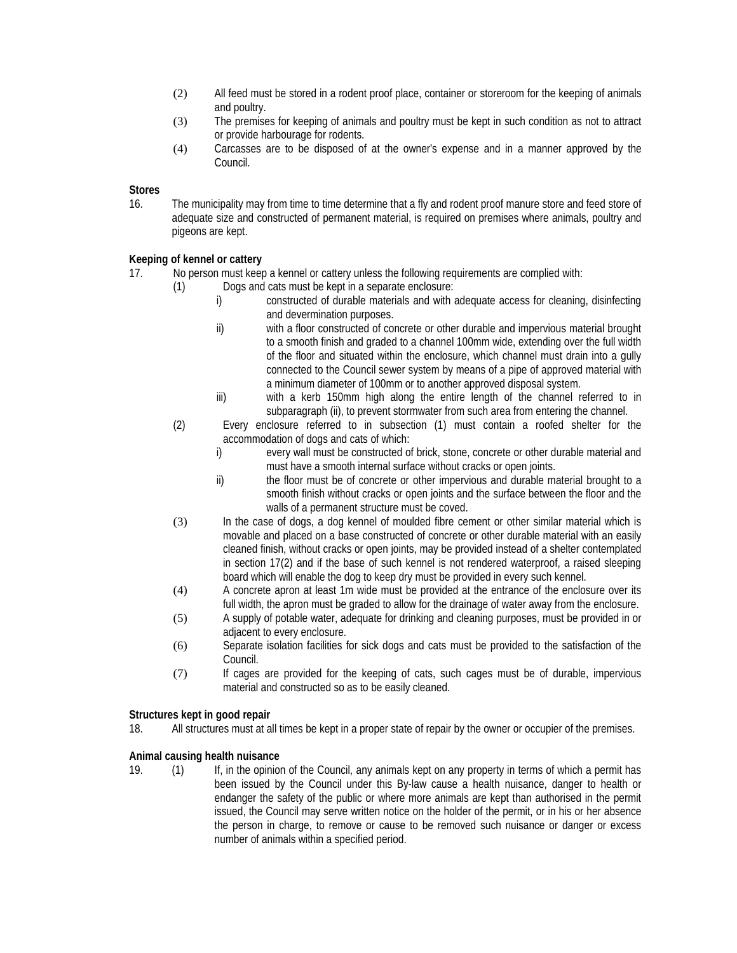- (2) All feed must be stored in a rodent proof place, container or storeroom for the keeping of animals and poultry.
- (3) The premises for keeping of animals and poultry must be kept in such condition as not to attract or provide harbourage for rodents.
- (4) Carcasses are to be disposed of at the owner's expense and in a manner approved by the Council.

## **Stores**

16. The municipality may from time to time determine that a fly and rodent proof manure store and feed store of adequate size and constructed of permanent material, is required on premises where animals, poultry and pigeons are kept.

# **Keeping of kennel or cattery**

- 17. No person must keep a kennel or cattery unless the following requirements are complied with:
	- (1) Dogs and cats must be kept in a separate enclosure:
		- i) constructed of durable materials and with adequate access for cleaning, disinfecting and devermination purposes.
		- ii) with a floor constructed of concrete or other durable and impervious material brought to a smooth finish and graded to a channel 100mm wide, extending over the full width of the floor and situated within the enclosure, which channel must drain into a gully connected to the Council sewer system by means of a pipe of approved material with a minimum diameter of 100mm or to another approved disposal system.
		- iii) with a kerb 150mm high along the entire length of the channel referred to in subparagraph (ii), to prevent stormwater from such area from entering the channel.
		- (2) Every enclosure referred to in subsection (1) must contain a roofed shelter for the accommodation of dogs and cats of which:
			- i) every wall must be constructed of brick, stone, concrete or other durable material and must have a smooth internal surface without cracks or open joints.
			- ii) the floor must be of concrete or other impervious and durable material brought to a smooth finish without cracks or open joints and the surface between the floor and the walls of a permanent structure must be coved.
		- (3) In the case of dogs, a dog kennel of moulded fibre cement or other similar material which is movable and placed on a base constructed of concrete or other durable material with an easily cleaned finish, without cracks or open joints, may be provided instead of a shelter contemplated in section 17(2) and if the base of such kennel is not rendered waterproof, a raised sleeping board which will enable the dog to keep dry must be provided in every such kennel.
		- (4) A concrete apron at least 1m wide must be provided at the entrance of the enclosure over its full width, the apron must be graded to allow for the drainage of water away from the enclosure.
		- (5) A supply of potable water, adequate for drinking and cleaning purposes, must be provided in or adiacent to every enclosure.
		- (6) Separate isolation facilities for sick dogs and cats must be provided to the satisfaction of the Council.
		- (7) If cages are provided for the keeping of cats, such cages must be of durable, impervious material and constructed so as to be easily cleaned.

## **Structures kept in good repair**

18. All structures must at all times be kept in a proper state of repair by the owner or occupier of the premises.

## **Animal causing health nuisance**

19. (1) If, in the opinion of the Council, any animals kept on any property in terms of which a permit has been issued by the Council under this By-law cause a health nuisance, danger to health or endanger the safety of the public or where more animals are kept than authorised in the permit issued, the Council may serve written notice on the holder of the permit, or in his or her absence the person in charge, to remove or cause to be removed such nuisance or danger or excess number of animals within a specified period.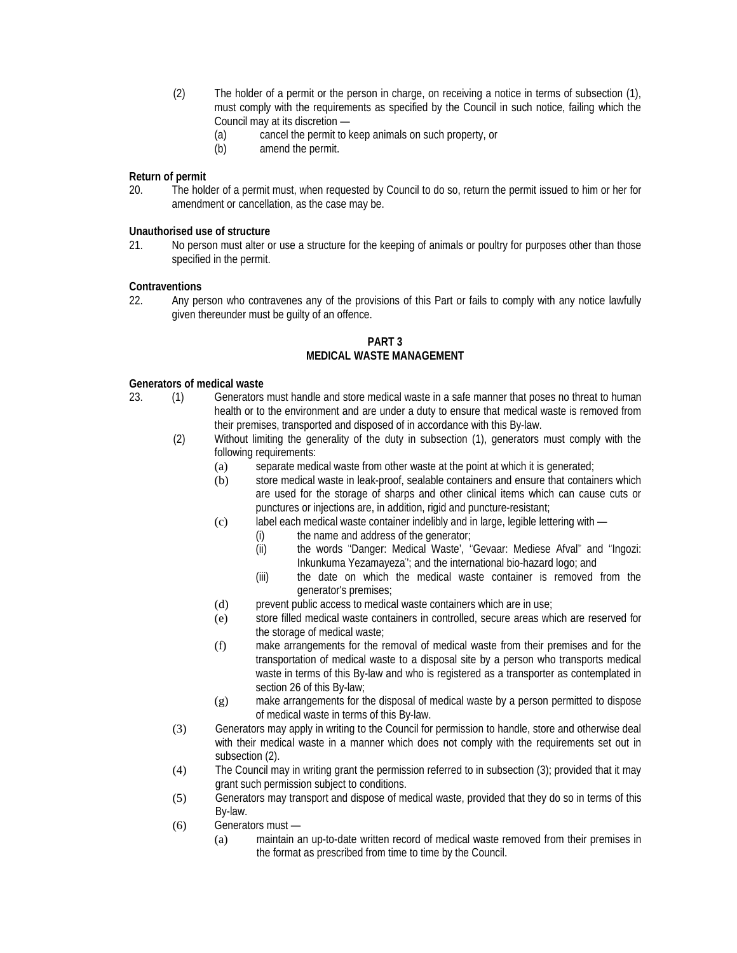- (2) The holder of a permit or the person in charge, on receiving a notice in terms of subsection (1), must comply with the requirements as specified by the Council in such notice, failing which the Council may at its discretion —
	- (a) cancel the permit to keep animals on such property, or (b) amend the permit.
	- amend the permit.

# **Return of permit**

20. The holder of a permit must, when requested by Council to do so, return the permit issued to him or her for amendment or cancellation, as the case may be.

## **Unauthorised use of structure**

21. No person must alter or use a structure for the keeping of animals or poultry for purposes other than those specified in the permit.

#### **Contraventions**

22. Any person who contravenes any of the provisions of this Part or fails to comply with any notice lawfully given thereunder must be guilty of an offence.

#### **PART 3 MEDICAL WASTE MANAGEMENT**

#### **Generators of medical waste**

- 23. (1) Generators must handle and store medical waste in a safe manner that poses no threat to human health or to the environment and are under a duty to ensure that medical waste is removed from their premises, transported and disposed of in accordance with this By-law.
	- (2) Without limiting the generality of the duty in subsection (1), generators must comply with the following requirements:
		- (a) separate medical waste from other waste at the point at which it is generated;
		- (b) store medical waste in leak-proof, sealable containers and ensure that containers which are used for the storage of sharps and other clinical items which can cause cuts or punctures or injections are, in addition, rigid and puncture-resistant;
		- (c) label each medical waste container indelibly and in large, legible lettering with
			- (i) the name and address of the generator;
			- (ii) the words ' 'Danger: Medical Waste', '' Gevaar: Mediese Afval'' and '' Ingozi: Inkunkuma Yezamayeza' '; and the international bio-hazard logo; and
			- (iii) the date on which the medical waste container is removed from the generator's premises;
		- (d) prevent public access to medical waste containers which are in use;
		- (e) store filled medical waste containers in controlled, secure areas which are reserved for the storage of medical waste;
		- (f) make arrangements for the removal of medical waste from their premises and for the transportation of medical waste to a disposal site by a person who transports medical waste in terms of this By-law and who is registered as a transporter as contemplated in section 26 of this By-law;
		- (g) make arrangements for the disposal of medical waste by a person permitted to dispose of medical waste in terms of this By-law.
	- (3) Generators may apply in writing to the Council for permission to handle, store and otherwise deal with their medical waste in a manner which does not comply with the requirements set out in subsection (2).
	- (4) The Council may in writing grant the permission referred to in subsection (3); provided that it may grant such permission subject to conditions.
	- (5) Generators may transport and dispose of medical waste, provided that they do so in terms of this By-law.
	- (6) Generators must
		- (a) maintain an up-to-date written record of medical waste removed from their premises in the format as prescribed from time to time by the Council.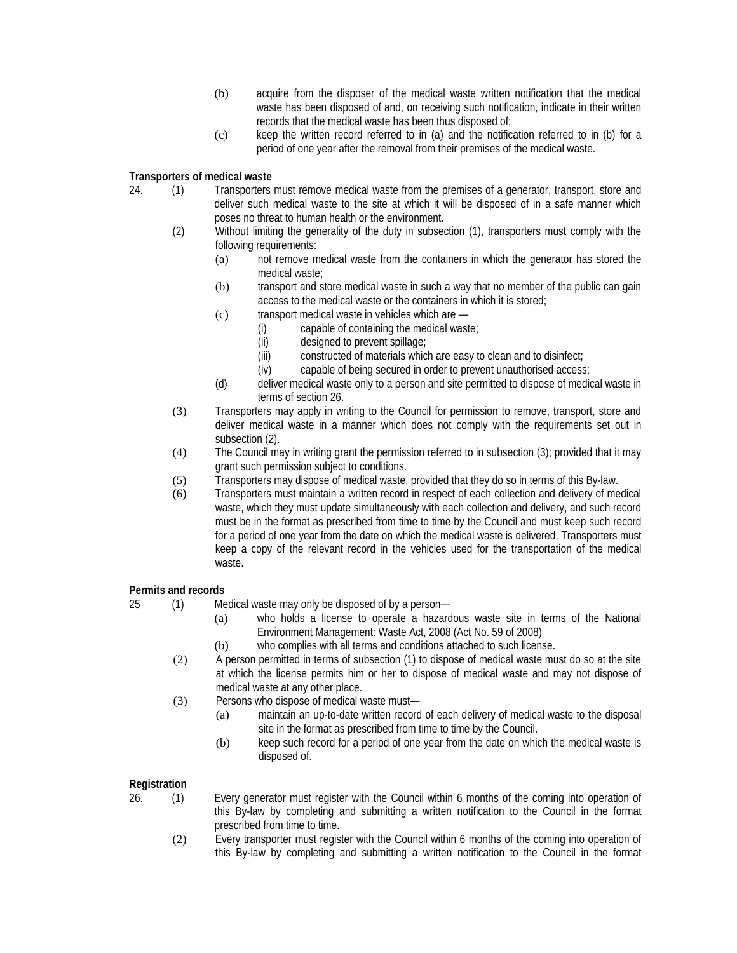- (b) acquire from the disposer of the medical waste written notification that the medical waste has been disposed of and, on receiving such notification, indicate in their written records that the medical waste has been thus disposed of;
- (c) keep the written record referred to in (a) and the notification referred to in (b) for a period of one year after the removal from their premises of the medical waste.

# **Transporters of medical waste**

- 24. (1) Transporters must remove medical waste from the premises of a generator, transport, store and deliver such medical waste to the site at which it will be disposed of in a safe manner which poses no threat to human health or the environment.
	- (2) Without limiting the generality of the duty in subsection (1), transporters must comply with the following requirements:
		- (a) not remove medical waste from the containers in which the generator has stored the medical waste;
		- (b) transport and store medical waste in such a way that no member of the public can gain access to the medical waste or the containers in which it is stored;
		- (c) transport medical waste in vehicles which are
			- (i) capable of containing the medical waste;
			- (ii) designed to prevent spillage;
			- (iii) constructed of materials which are easy to clean and to disinfect;
			- (iv) capable of being secured in order to prevent unauthorised access;
		- (d) deliver medical waste only to a person and site permitted to dispose of medical waste in terms of section 26.
	- (3) Transporters may apply in writing to the Council for permission to remove, transport, store and deliver medical waste in a manner which does not comply with the requirements set out in subsection (2).
	- (4) The Council may in writing grant the permission referred to in subsection (3); provided that it may grant such permission subject to conditions.
	- (5) Transporters may dispose of medical waste, provided that they do so in terms of this By-law.
	- (6) Transporters must maintain a written record in respect of each collection and delivery of medical waste, which they must update simultaneously with each collection and delivery, and such record must be in the format as prescribed from time to time by the Council and must keep such record for a period of one year from the date on which the medical waste is delivered. Transporters must keep a copy of the relevant record in the vehicles used for the transportation of the medical waste.

## **Permits and records**

- 25 (1) Medical waste may only be disposed of by a person—
	- (a) who holds a license to operate a hazardous waste site in terms of the National Environment Management: Waste Act, 2008 (Act No. 59 of 2008)
	- (b) who complies with all terms and conditions attached to such license.
	- (2) A person permitted in terms of subsection (1) to dispose of medical waste must do so at the site at which the license permits him or her to dispose of medical waste and may not dispose of medical waste at any other place.
	- (3) Persons who dispose of medical waste must—
		- (a) maintain an up-to-date written record of each delivery of medical waste to the disposal site in the format as prescribed from time to time by the Council.
		- (b) keep such record for a period of one year from the date on which the medical waste is disposed of.

# **Registration**

- 26. (1) Every generator must register with the Council within 6 months of the coming into operation of this By-law by completing and submitting a written notification to the Council in the format prescribed from time to time.
	- (2) Every transporter must register with the Council within 6 months of the coming into operation of this By-law by completing and submitting a written notification to the Council in the format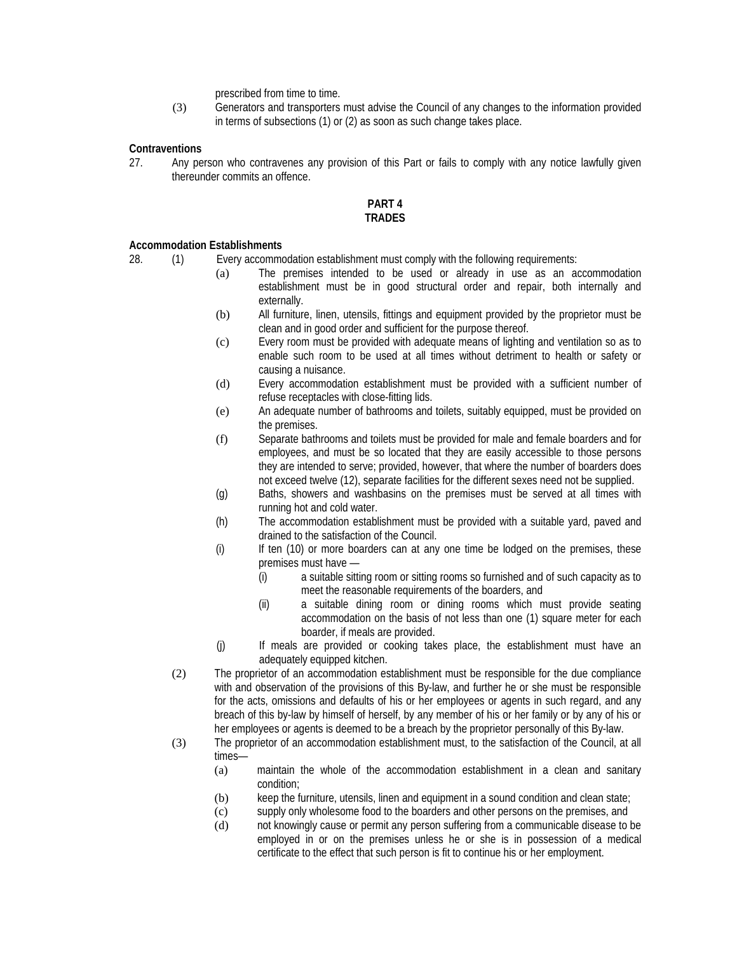prescribed from time to time.

(3) Generators and transporters must advise the Council of any changes to the information provided in terms of subsections (1) or (2) as soon as such change takes place.

## **Contraventions**

27. Any person who contravenes any provision of this Part or fails to comply with any notice lawfully given thereunder commits an offence.

#### **PART 4 TRADES**

#### **Accommodation Establishments**

28. (1) Every accommodation establishment must comply with the following requirements:

- (a) The premises intended to be used or already in use as an accommodation establishment must be in good structural order and repair, both internally and externally.
- (b) All furniture, linen, utensils, fittings and equipment provided by the proprietor must be clean and in good order and sufficient for the purpose thereof.
- (c) Every room must be provided with adequate means of lighting and ventilation so as to enable such room to be used at all times without detriment to health or safety or causing a nuisance.
- (d) Every accommodation establishment must be provided with a sufficient number of refuse receptacles with close-fitting lids.
- (e) An adequate number of bathrooms and toilets, suitably equipped, must be provided on the premises.
- (f) Separate bathrooms and toilets must be provided for male and female boarders and for employees, and must be so located that they are easily accessible to those persons they are intended to serve; provided, however, that where the number of boarders does not exceed twelve (12), separate facilities for the different sexes need not be supplied.
- (g) Baths, showers and washbasins on the premises must be served at all times with running hot and cold water.
- (h) The accommodation establishment must be provided with a suitable yard, paved and drained to the satisfaction of the Council.
- (i) If ten (10) or more boarders can at any one time be lodged on the premises, these premises must have —
	- (i) a suitable sitting room or sitting rooms so furnished and of such capacity as to meet the reasonable requirements of the boarders, and
	- (ii) a suitable dining room or dining rooms which must provide seating accommodation on the basis of not less than one (1) square meter for each boarder, if meals are provided.
- (j) If meals are provided or cooking takes place, the establishment must have an adequately equipped kitchen.
- (2) The proprietor of an accommodation establishment must be responsible for the due compliance with and observation of the provisions of this By-law, and further he or she must be responsible for the acts, omissions and defaults of his or her employees or agents in such regard, and any breach of this by-law by himself of herself, by any member of his or her family or by any of his or her employees or agents is deemed to be a breach by the proprietor personally of this By-law.
- (3) The proprietor of an accommodation establishment must, to the satisfaction of the Council, at all times—
	- (a) maintain the whole of the accommodation establishment in a clean and sanitary condition;
	- (b) keep the furniture, utensils, linen and equipment in a sound condition and clean state;
	- (c) supply only wholesome food to the boarders and other persons on the premises, and
	- (d) not knowingly cause or permit any person suffering from a communicable disease to be employed in or on the premises unless he or she is in possession of a medical certificate to the effect that such person is fit to continue his or her employment.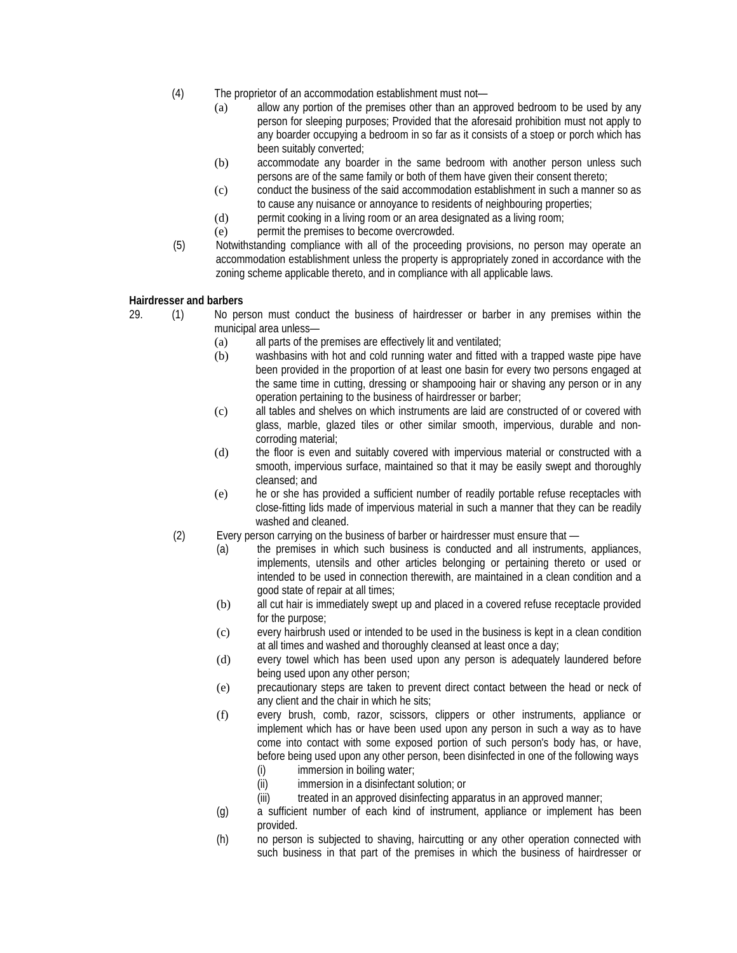- (4) The proprietor of an accommodation establishment must not—
	- (a) allow any portion of the premises other than an approved bedroom to be used by any person for sleeping purposes; Provided that the aforesaid prohibition must not apply to any boarder occupying a bedroom in so far as it consists of a stoep or porch which has been suitably converted;
	- (b) accommodate any boarder in the same bedroom with another person unless such persons are of the same family or both of them have given their consent thereto;
	- (c) conduct the business of the said accommodation establishment in such a manner so as to cause any nuisance or annoyance to residents of neighbouring properties;
	- (d) permit cooking in a living room or an area designated as a living room;
	- (e) permit the premises to become overcrowded.
- (5) Notwithstanding compliance with all of the proceeding provisions, no person may operate an accommodation establishment unless the property is appropriately zoned in accordance with the zoning scheme applicable thereto, and in compliance with all applicable laws.

## **Hairdresser and barbers**

- 29. (1) No person must conduct the business of hairdresser or barber in any premises within the municipal area unless—
	- (a) all parts of the premises are effectively lit and ventilated;
	- (b) washbasins with hot and cold running water and fitted with a trapped waste pipe have been provided in the proportion of at least one basin for every two persons engaged at the same time in cutting, dressing or shampooing hair or shaving any person or in any operation pertaining to the business of hairdresser or barber;
	- (c) all tables and shelves on which instruments are laid are constructed of or covered with glass, marble, glazed tiles or other similar smooth, impervious, durable and noncorroding material;
	- (d) the floor is even and suitably covered with impervious material or constructed with a smooth, impervious surface, maintained so that it may be easily swept and thoroughly cleansed; and
	- (e) he or she has provided a sufficient number of readily portable refuse receptacles with close-fitting lids made of impervious material in such a manner that they can be readily washed and cleaned.
	- (2) Every person carrying on the business of barber or hairdresser must ensure that
		- (a) the premises in which such business is conducted and all instruments, appliances, implements, utensils and other articles belonging or pertaining thereto or used or intended to be used in connection therewith, are maintained in a clean condition and a good state of repair at all times;
		- (b) all cut hair is immediately swept up and placed in a covered refuse receptacle provided for the purpose;
		- (c) every hairbrush used or intended to be used in the business is kept in a clean condition at all times and washed and thoroughly cleansed at least once a day;
		- (d) every towel which has been used upon any person is adequately laundered before being used upon any other person;
		- (e) precautionary steps are taken to prevent direct contact between the head or neck of any client and the chair in which he sits;
		- (f) every brush, comb, razor, scissors, clippers or other instruments, appliance or implement which has or have been used upon any person in such a way as to have come into contact with some exposed portion of such person's body has, or have, before being used upon any other person, been disinfected in one of the following ways (i) immersion in boiling water;
			-
			- (ii) immersion in a disinfectant solution; or
			- (iii) treated in an approved disinfecting apparatus in an approved manner;
		- (g) a sufficient number of each kind of instrument, appliance or implement has been provided.
		- (h) no person is subjected to shaving, haircutting or any other operation connected with such business in that part of the premises in which the business of hairdresser or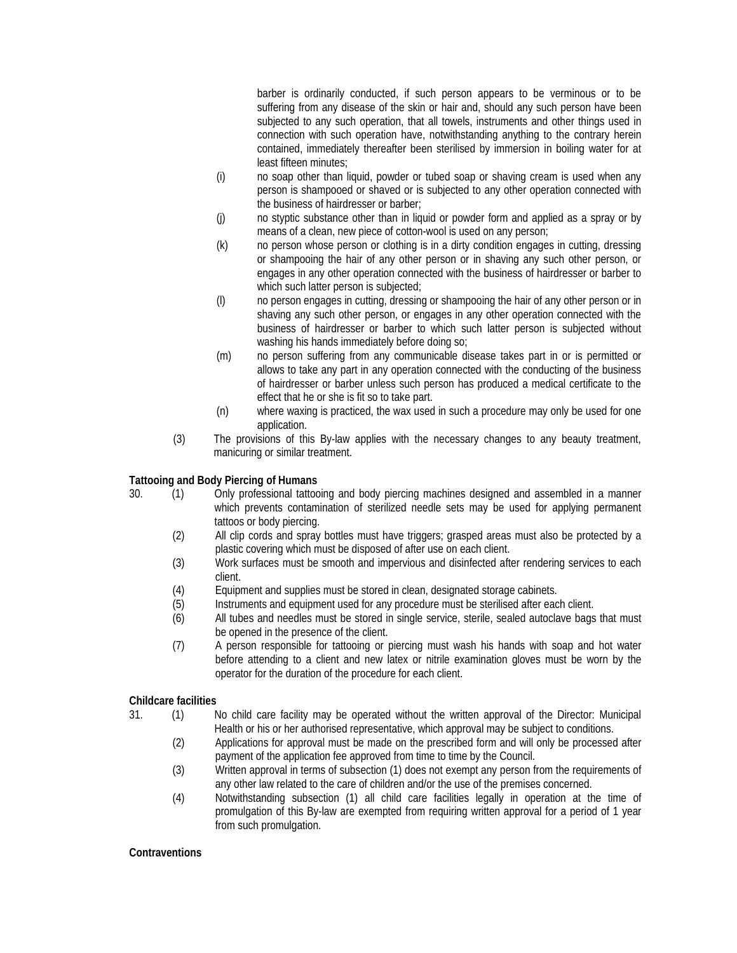barber is ordinarily conducted, if such person appears to be verminous or to be suffering from any disease of the skin or hair and, should any such person have been subjected to any such operation, that all towels, instruments and other things used in connection with such operation have, notwithstanding anything to the contrary herein contained, immediately thereafter been sterilised by immersion in boiling water for at least fifteen minutes;

- (i) no soap other than liquid, powder or tubed soap or shaving cream is used when any person is shampooed or shaved or is subjected to any other operation connected with the business of hairdresser or barber;
- (j) no styptic substance other than in liquid or powder form and applied as a spray or by means of a clean, new piece of cotton-wool is used on any person;
- (k) no person whose person or clothing is in a dirty condition engages in cutting, dressing or shampooing the hair of any other person or in shaving any such other person, or engages in any other operation connected with the business of hairdresser or barber to which such latter person is subjected;
- (l) no person engages in cutting, dressing or shampooing the hair of any other person or in shaving any such other person, or engages in any other operation connected with the business of hairdresser or barber to which such latter person is subjected without washing his hands immediately before doing so;
- (m) no person suffering from any communicable disease takes part in or is permitted or allows to take any part in any operation connected with the conducting of the business of hairdresser or barber unless such person has produced a medical certificate to the effect that he or she is fit so to take part.
- (n) where waxing is practiced, the wax used in such a procedure may only be used for one application.
- (3) The provisions of this By-law applies with the necessary changes to any beauty treatment, manicuring or similar treatment.

## **Tattooing and Body Piercing of Humans**

- 30. (1) Only professional tattooing and body piercing machines designed and assembled in a manner which prevents contamination of sterilized needle sets may be used for applying permanent tattoos or body piercing.
	- (2) All clip cords and spray bottles must have triggers; grasped areas must also be protected by a plastic covering which must be disposed of after use on each client.
	- (3) Work surfaces must be smooth and impervious and disinfected after rendering services to each client.
	- (4) Equipment and supplies must be stored in clean, designated storage cabinets.
	- (5) Instruments and equipment used for any procedure must be sterilised after each client.
	- (6) All tubes and needles must be stored in single service, sterile, sealed autoclave bags that must be opened in the presence of the client.
	- (7) A person responsible for tattooing or piercing must wash his hands with soap and hot water before attending to a client and new latex or nitrile examination gloves must be worn by the operator for the duration of the procedure for each client.

## **Childcare facilities**

- 31. (1) No child care facility may be operated without the written approval of the Director: Municipal Health or his or her authorised representative, which approval may be subject to conditions.
	- (2) Applications for approval must be made on the prescribed form and will only be processed after payment of the application fee approved from time to time by the Council.
	- (3) Written approval in terms of subsection (1) does not exempt any person from the requirements of any other law related to the care of children and/or the use of the premises concerned.
	- (4) Notwithstanding subsection (1) all child care facilities legally in operation at the time of promulgation of this By-law are exempted from requiring written approval for a period of 1 year from such promulgation.

## **Contraventions**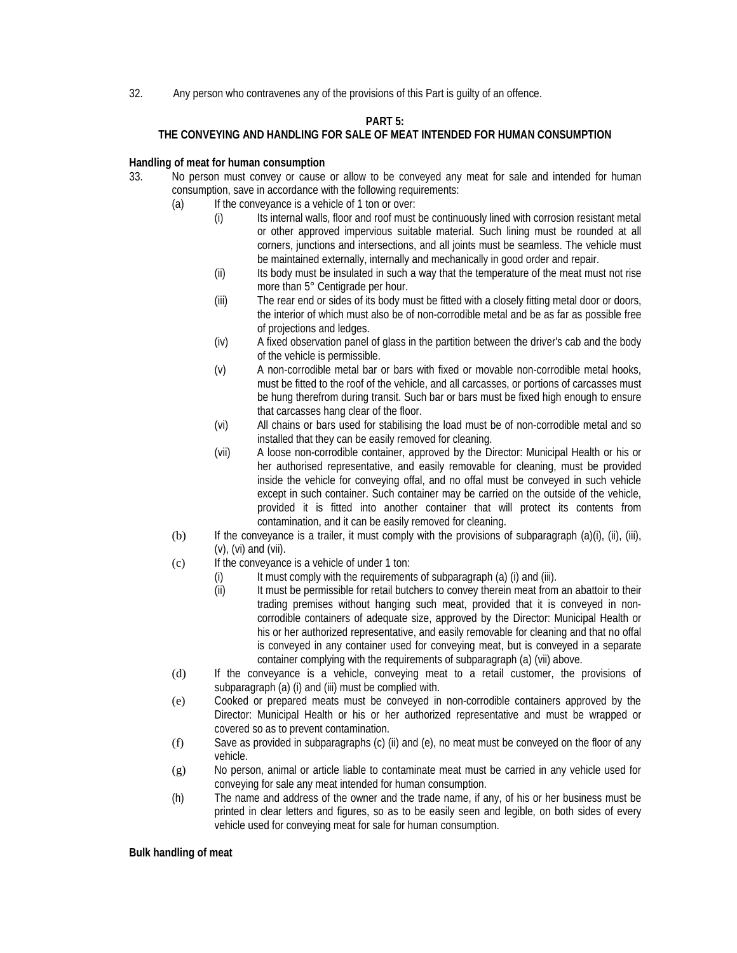32. Any person who contravenes any of the provisions of this Part is guilty of an offence.

## **PART 5:**

# **THE CONVEYING AND HANDLING FOR SALE OF MEAT INTENDED FOR HUMAN CONSUMPTION**

## **Handling of meat for human consumption**

- 33. No person must convey or cause or allow to be conveyed any meat for sale and intended for human consumption, save in accordance with the following requirements:
	- (a) If the conveyance is a vehicle of 1 ton or over:
		- (i) Its internal walls, floor and roof must be continuously lined with corrosion resistant metal or other approved impervious suitable material. Such lining must be rounded at all corners, junctions and intersections, and all joints must be seamless. The vehicle must be maintained externally, internally and mechanically in good order and repair.
		- (ii) Its body must be insulated in such a way that the temperature of the meat must not rise more than 5° Centigrade per hour.
		- (iii) The rear end or sides of its body must be fitted with a closely fitting metal door or doors, the interior of which must also be of non-corrodible metal and be as far as possible free of projections and ledges.
		- (iv) A fixed observation panel of glass in the partition between the driver's cab and the body of the vehicle is permissible.
		- (v) A non-corrodible metal bar or bars with fixed or movable non-corrodible metal hooks, must be fitted to the roof of the vehicle, and all carcasses, or portions of carcasses must be hung therefrom during transit. Such bar or bars must be fixed high enough to ensure that carcasses hang clear of the floor.
		- (vi) All chains or bars used for stabilising the load must be of non-corrodible metal and so installed that they can be easily removed for cleaning.
		- (vii) A loose non-corrodible container, approved by the Director: Municipal Health or his or her authorised representative, and easily removable for cleaning, must be provided inside the vehicle for conveying offal, and no offal must be conveyed in such vehicle except in such container. Such container may be carried on the outside of the vehicle, provided it is fitted into another container that will protect its contents from contamination, and it can be easily removed for cleaning.
	- (b) If the conveyance is a trailer, it must comply with the provisions of subparagraph (a)(i), (ii), (iii), (v), (vi) and (vii).
	- (c) If the conveyance is a vehicle of under 1 ton:
		- (i) It must comply with the requirements of subparagraph (a) (i) and (iii).
		- (ii) It must be permissible for retail butchers to convey therein meat from an abattoir to their trading premises without hanging such meat, provided that it is conveyed in noncorrodible containers of adequate size, approved by the Director: Municipal Health or his or her authorized representative, and easily removable for cleaning and that no offal is conveyed in any container used for conveying meat, but is conveyed in a separate container complying with the requirements of subparagraph (a) (vii) above.
	- (d) If the conveyance is a vehicle, conveying meat to a retail customer, the provisions of subparagraph (a) (i) and (iii) must be complied with.
	- (e) Cooked or prepared meats must be conveyed in non-corrodible containers approved by the Director: Municipal Health or his or her authorized representative and must be wrapped or covered so as to prevent contamination.
	- (f) Save as provided in subparagraphs (c) (ii) and (e), no meat must be conveyed on the floor of any vehicle.
	- (g) No person, animal or article liable to contaminate meat must be carried in any vehicle used for conveying for sale any meat intended for human consumption.
	- (h) The name and address of the owner and the trade name, if any, of his or her business must be printed in clear letters and figures, so as to be easily seen and legible, on both sides of every vehicle used for conveying meat for sale for human consumption.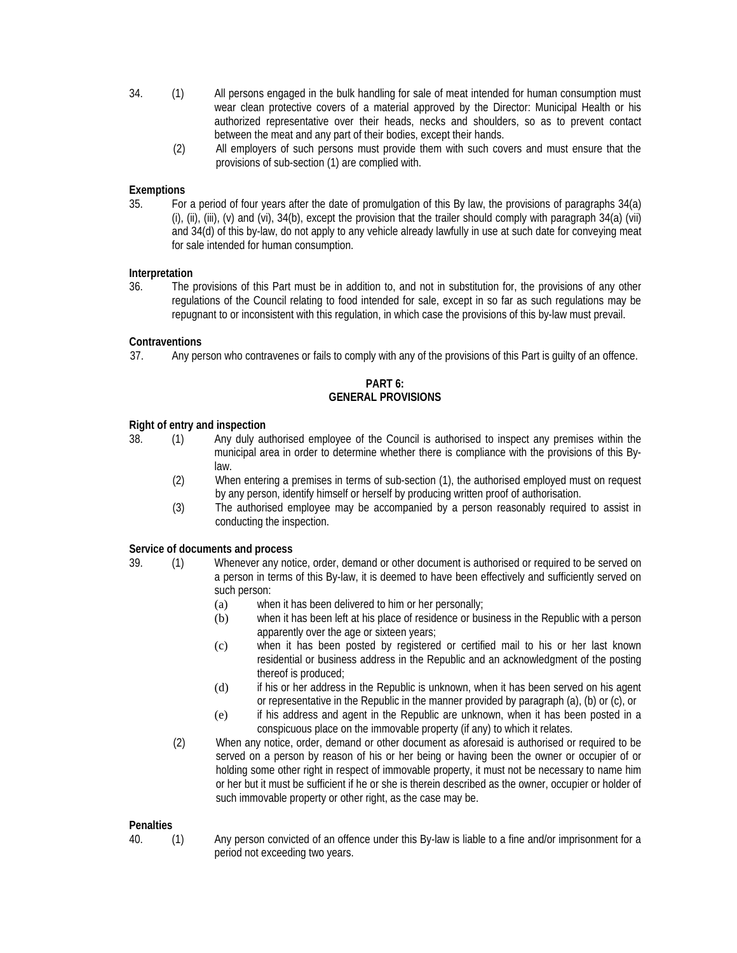- 34. (1) All persons engaged in the bulk handling for sale of meat intended for human consumption must wear clean protective covers of a material approved by the Director: Municipal Health or his authorized representative over their heads, necks and shoulders, so as to prevent contact between the meat and any part of their bodies, except their hands.
	- (2) All employers of such persons must provide them with such covers and must ensure that the provisions of sub-section (1) are complied with.

## **Exemptions**

35. For a period of four years after the date of promulgation of this By law, the provisions of paragraphs 34(a) (i), (ii), (iii), (v) and (vi),  $34(b)$ , except the provision that the trailer should comply with paragraph  $34(a)$  (vii) and 34(d) of this by-law, do not apply to any vehicle already lawfully in use at such date for conveying meat for sale intended for human consumption.

#### **Interpretation**

36. The provisions of this Part must be in addition to, and not in substitution for, the provisions of any other regulations of the Council relating to food intended for sale, except in so far as such regulations may be repugnant to or inconsistent with this regulation, in which case the provisions of this by-law must prevail.

#### **Contraventions**

37. Any person who contravenes or fails to comply with any of the provisions of this Part is guilty of an offence.

## **PART 6: GENERAL PROVISIONS**

#### **Right of entry and inspection**

- 
- 38. (1) Any duly authorised employee of the Council is authorised to inspect any premises within the municipal area in order to determine whether there is compliance with the provisions of this Bylaw.
	- (2) When entering a premises in terms of sub-section (1), the authorised employed must on request by any person, identify himself or herself by producing written proof of authorisation.
	- (3) The authorised employee may be accompanied by a person reasonably required to assist in conducting the inspection.

#### **Service of documents and process**

- 39. (1) Whenever any notice, order, demand or other document is authorised or required to be served on a person in terms of this By-law, it is deemed to have been effectively and sufficiently served on such person:
	- (a) when it has been delivered to him or her personally;
	- (b) when it has been left at his place of residence or business in the Republic with a person apparently over the age or sixteen years;
	- (c) when it has been posted by registered or certified mail to his or her last known residential or business address in the Republic and an acknowledgment of the posting thereof is produced;
	- (d) if his or her address in the Republic is unknown, when it has been served on his agent or representative in the Republic in the manner provided by paragraph (a), (b) or (c), or
	- (e) if his address and agent in the Republic are unknown, when it has been posted in a conspicuous place on the immovable property (if any) to which it relates.
	- (2) When any notice, order, demand or other document as aforesaid is authorised or required to be served on a person by reason of his or her being or having been the owner or occupier of or holding some other right in respect of immovable property, it must not be necessary to name him or her but it must be sufficient if he or she is therein described as the owner, occupier or holder of such immovable property or other right, as the case may be.

## **Penalties**

- 
- 40. (1) Any person convicted of an offence under this By-law is liable to a fine and/or imprisonment for a period not exceeding two years.